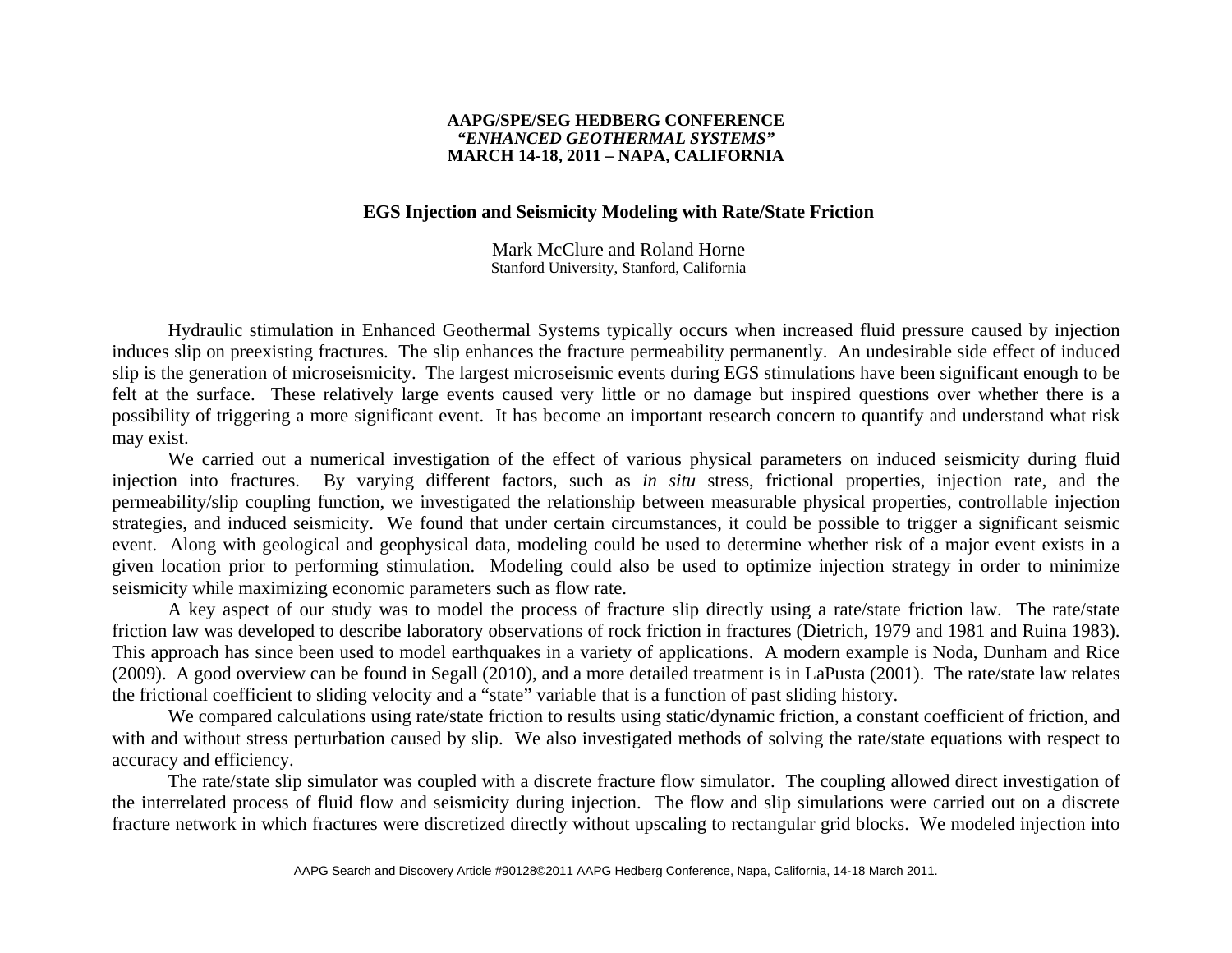## **AAPG/SPE/SEG HEDBERG CONFERENCE** *"ENHANCED GEOTHERMAL SYSTEMS"* **MARCH 14-18, 2011 – NAPA, CALIFORNIA**

## **EGS Injection and Seismicity Modeling with Rate/State Friction**

Mark McClure and Roland Horne Stanford University, Stanford, California

Hydraulic stimulation in Enhanced Geothermal Systems typically occurs when increased fluid pressure caused by injection induces slip on preexisting fractures. The slip enhances the fracture permeability permanently. An undesirable side effect of induced slip is the generation of microseismicity. The largest microseismic events during EGS stimulations have been significant enough to be felt at the surface. These relatively large events caused very little or no damage but inspired questions over whether there is a possibility of triggering a more significant event. It has become an important research concern to quantify and understand what risk may exist.

We carried out a numerical investigation of the effect of various physical parameters on induced seismicity during fluid injection into fractures. By varying different factors, such as *in situ* stress, frictional properties, injection rate, and the permeability/slip coupling function, we investigated the relationship between measurable physical properties, controllable injection strategies, and induced seismicity. We found that under certain circumstances, it could be possible to trigger a significant seismic event. Along with geological and geophysical data, modeling could be used to determine whether risk of a major event exists in a given location prior to performing stimulation. Modeling could also be used to optimize injection strategy in order to minimize seismicity while maximizing economic parameters such as flow rate.

A key aspect of our study was to model the process of fracture slip directly using a rate/state friction law. The rate/state friction law was developed to describe laboratory observations of rock friction in fractures (Dietrich, 1979 and 1981 and Ruina 1983). This approach has since been used to model earthquakes in a variety of applications. A modern example is Noda, Dunham and Rice (2009). A good overview can be found in Segall (2010), and a more detailed treatment is in LaPusta (2001). The rate/state law relates the frictional coefficient to sliding velocity and a "state" variable that is a function of past sliding history.

We compared calculations using rate/state friction to results using static/dynamic friction, a constant coefficient of friction, and with and without stress perturbation caused by slip. We also investigated methods of solving the rate/state equations with respect to accuracy and efficiency.

The rate/state slip simulator was coupled with a discrete fracture flow simulator. The coupling allowed direct investigation of the interrelated process of fluid flow and seismicity during injection. The flow and slip simulations were carried out on a discrete fracture network in which fractures were discretized directly without upscaling to rectangular grid blocks. We modeled injection into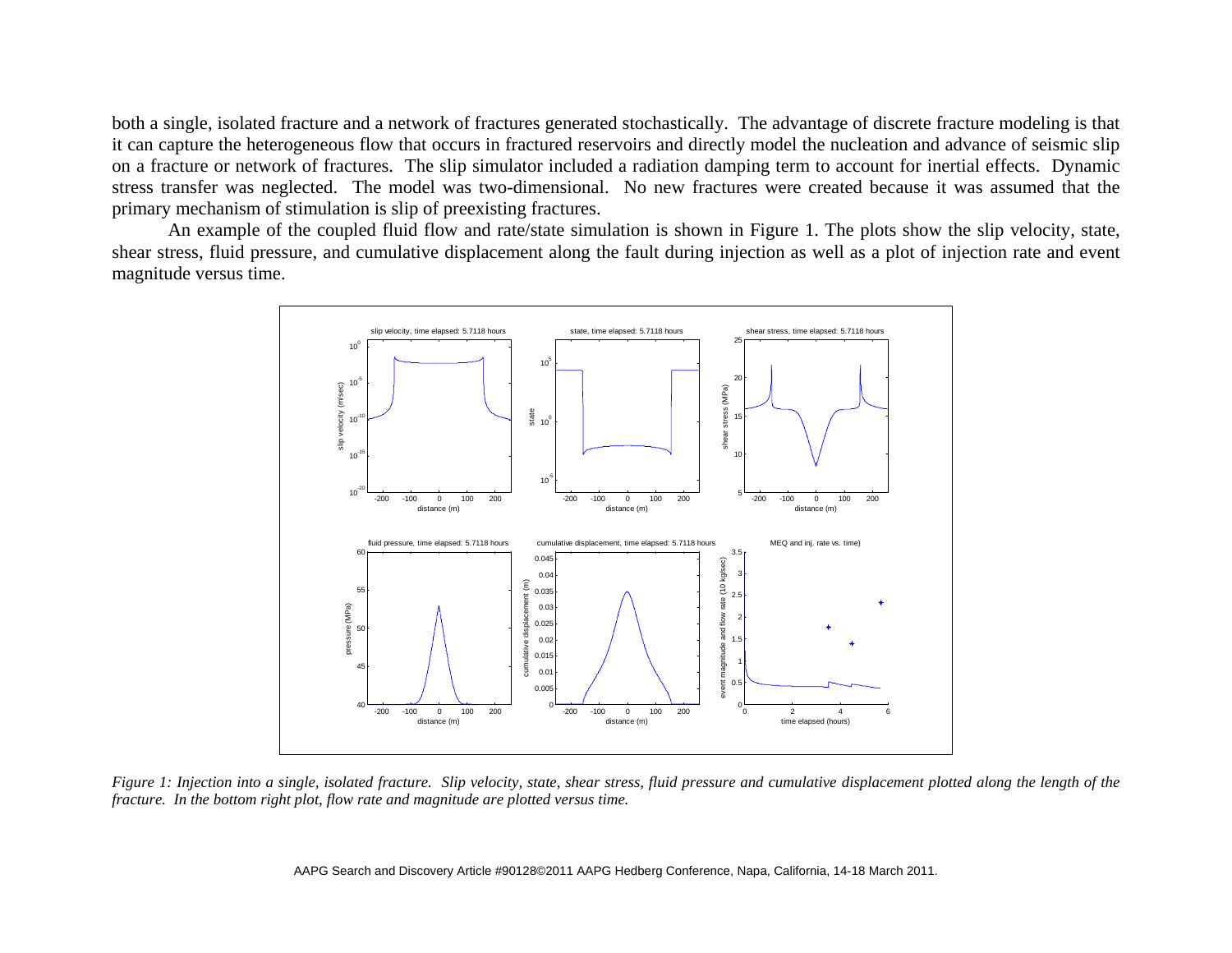both a single, isolated fracture and a network of fractures generated stochastically. The advantage of discrete fracture modeling is that it can capture the heterogeneous flow that occurs in fractured reservoirs and directly model the nucleation and advance of seismic slip on a fracture or network of fractures. The slip simulator included a radiation damping term to account for inertial effects. Dynamic stress transfer was neglected. The model was two-dimensional. No new fractures were created because it was assumed that the primary mechanism of stimulation is slip of preexisting fractures.

An example of the coupled fluid flow and rate/state simulation is shown in Figure 1. The plots show the slip velocity, state, shear stress, fluid pressure, and cumulative displacement along the fault during injection as well as a plot of injection rate and event magnitude versus time.



*Figure 1: Injection into a single, isolated fracture. Slip velocity, state, shear stress, fluid pressure and cumulative displacement plotted along the length of the fracture. In the bottom right plot, flow rate and magnitude are plotted versus time.*